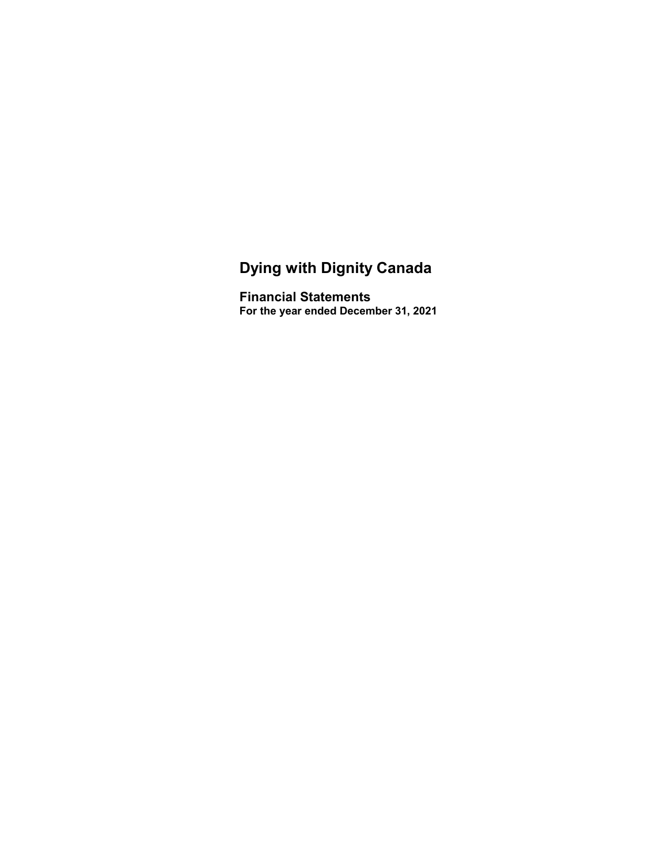# **Dying with Dignity Canada**

**Financial Statements For the year ended December 31, 2021**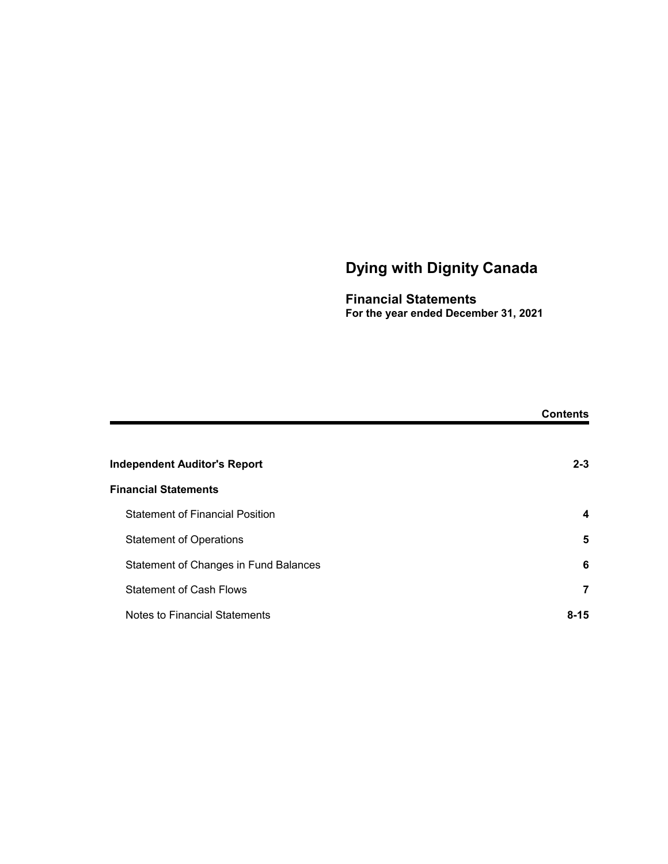# **Dying with Dignity Canada**

**Financial Statements For the year ended December 31, 2021**

|                                        | <b>Contents</b> |
|----------------------------------------|-----------------|
| <b>Independent Auditor's Report</b>    | $2 - 3$         |
| <b>Financial Statements</b>            |                 |
| <b>Statement of Financial Position</b> | 4               |
| <b>Statement of Operations</b>         | 5               |
| Statement of Changes in Fund Balances  | 6               |
| <b>Statement of Cash Flows</b>         | 7               |
| <b>Notes to Financial Statements</b>   | $8 - 15$        |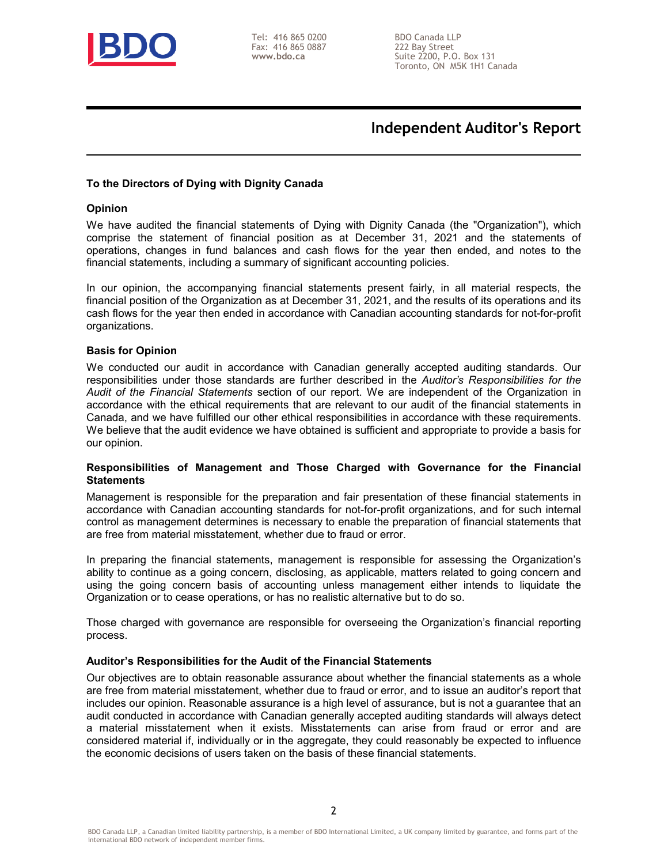

Tel: 416 865 0200 Fax: 416 865 0887 **www.bdo.ca**

BDO Canada LLP 222 Bay Street Suite 2200, P.O. Box 131 Toronto, ON M5K 1H1 Canada

# **Independent Auditor's Report**

## **To the Directors of Dying with Dignity Canada**

#### **Opinion**

We have audited the financial statements of Dying with Dignity Canada (the "Organization"), which comprise the statement of financial position as at December 31, 2021 and the statements of operations, changes in fund balances and cash flows for the year then ended, and notes to the financial statements, including a summary of significant accounting policies.

In our opinion, the accompanying financial statements present fairly, in all material respects, the financial position of the Organization as at December 31, 2021, and the results of its operations and its cash flows for the year then ended in accordance with Canadian accounting standards for not-for-profit organizations.

#### **Basis for Opinion**

We conducted our audit in accordance with Canadian generally accepted auditing standards. Our responsibilities under those standards are further described in the *Auditor's Responsibilities for the Audit of the Financial Statements* section of our report. We are independent of the Organization in accordance with the ethical requirements that are relevant to our audit of the financial statements in Canada, and we have fulfilled our other ethical responsibilities in accordance with these requirements. We believe that the audit evidence we have obtained is sufficient and appropriate to provide a basis for our opinion.

## **Responsibilities of Management and Those Charged with Governance for the Financial Statements**

Management is responsible for the preparation and fair presentation of these financial statements in accordance with Canadian accounting standards for not-for-profit organizations, and for such internal control as management determines is necessary to enable the preparation of financial statements that are free from material misstatement, whether due to fraud or error.

In preparing the financial statements, management is responsible for assessing the Organization's ability to continue as a going concern, disclosing, as applicable, matters related to going concern and using the going concern basis of accounting unless management either intends to liquidate the Organization or to cease operations, or has no realistic alternative but to do so.

Those charged with governance are responsible for overseeing the Organization's financial reporting process.

#### **Auditor's Responsibilities for the Audit of the Financial Statements**

Our objectives are to obtain reasonable assurance about whether the financial statements as a whole are free from material misstatement, whether due to fraud or error, and to issue an auditor's report that includes our opinion. Reasonable assurance is a high level of assurance, but is not a guarantee that an audit conducted in accordance with Canadian generally accepted auditing standards will always detect a material misstatement when it exists. Misstatements can arise from fraud or error and are considered material if, individually or in the aggregate, they could reasonably be expected to influence the economic decisions of users taken on the basis of these financial statements.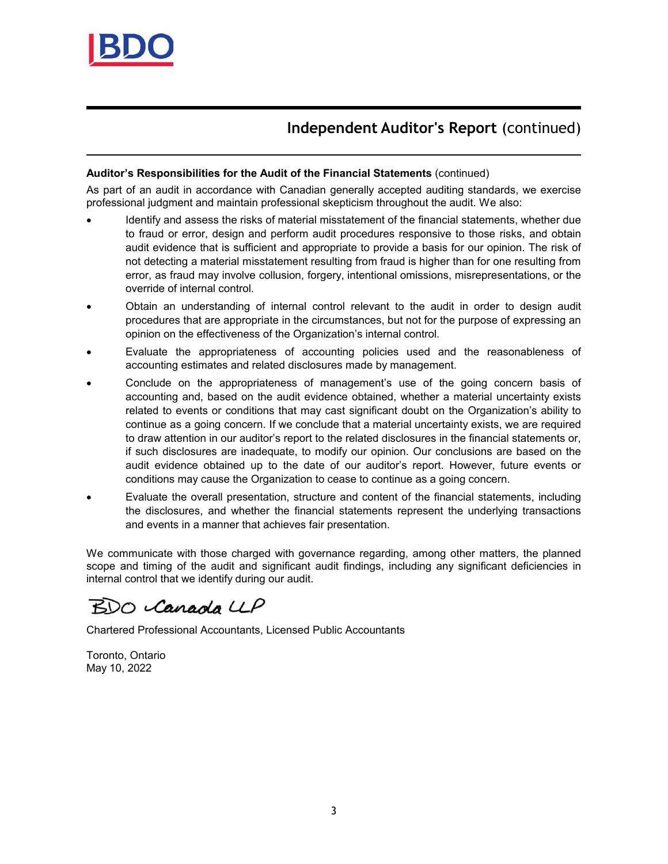

# **Independent Auditor's Report** (continued)

# **Auditor's Responsibilities for the Audit of the Financial Statements** (continued)

As part of an audit in accordance with Canadian generally accepted auditing standards, we exercise professional judgment and maintain professional skepticism throughout the audit. We also:

- Identify and assess the risks of material misstatement of the financial statements, whether due to fraud or error, design and perform audit procedures responsive to those risks, and obtain audit evidence that is sufficient and appropriate to provide a basis for our opinion. The risk of not detecting a material misstatement resulting from fraud is higher than for one resulting from error, as fraud may involve collusion, forgery, intentional omissions, misrepresentations, or the override of internal control.
- Obtain an understanding of internal control relevant to the audit in order to design audit procedures that are appropriate in the circumstances, but not for the purpose of expressing an opinion on the effectiveness of the Organization's internal control.
- Evaluate the appropriateness of accounting policies used and the reasonableness of accounting estimates and related disclosures made by management.
- Conclude on the appropriateness of management's use of the going concern basis of accounting and, based on the audit evidence obtained, whether a material uncertainty exists related to events or conditions that may cast significant doubt on the Organization's ability to continue as a going concern. If we conclude that a material uncertainty exists, we are required to draw attention in our auditor's report to the related disclosures in the financial statements or, if such disclosures are inadequate, to modify our opinion. Our conclusions are based on the audit evidence obtained up to the date of our auditor's report. However, future events or conditions may cause the Organization to cease to continue as a going concern.
- Evaluate the overall presentation, structure and content of the financial statements, including the disclosures, and whether the financial statements represent the underlying transactions and events in a manner that achieves fair presentation.

We communicate with those charged with governance regarding, among other matters, the planned scope and timing of the audit and significant audit findings, including any significant deficiencies in internal control that we identify during our audit.

BDO Canado LLP

Chartered Professional Accountants, Licensed Public Accountants

Toronto, Ontario May 10, 2022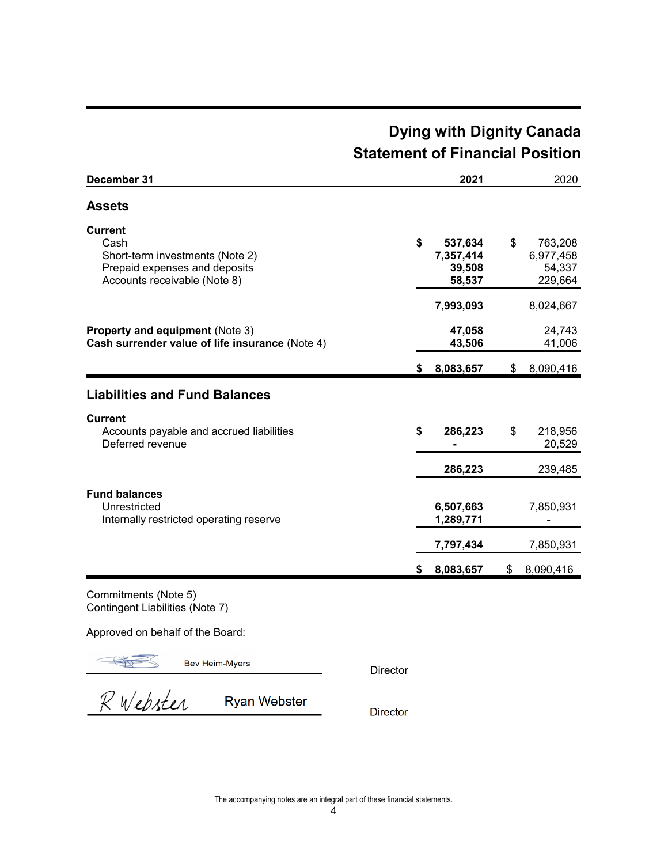# **Dying with Dignity Canada Statement of Financial Position**

| December 31                                                                                                                |    | 2021                                     | 2020                                            |
|----------------------------------------------------------------------------------------------------------------------------|----|------------------------------------------|-------------------------------------------------|
| <b>Assets</b>                                                                                                              |    |                                          |                                                 |
| <b>Current</b><br>Cash<br>Short-term investments (Note 2)<br>Prepaid expenses and deposits<br>Accounts receivable (Note 8) | \$ | 537,634<br>7,357,414<br>39,508<br>58,537 | \$<br>763,208<br>6,977,458<br>54,337<br>229,664 |
|                                                                                                                            |    | 7,993,093                                | 8,024,667                                       |
| <b>Property and equipment (Note 3)</b><br>Cash surrender value of life insurance (Note 4)                                  |    | 47,058<br>43,506                         | 24,743<br>41,006                                |
|                                                                                                                            | S. | 8,083,657                                | \$<br>8,090,416                                 |
| <b>Liabilities and Fund Balances</b>                                                                                       |    |                                          |                                                 |
| <b>Current</b><br>Accounts payable and accrued liabilities<br>Deferred revenue                                             | \$ | 286,223                                  | \$<br>218,956<br>20,529                         |
|                                                                                                                            |    | 286,223                                  | 239,485                                         |
| <b>Fund balances</b><br>Unrestricted<br>Internally restricted operating reserve                                            |    | 6,507,663<br>1,289,771                   | 7,850,931                                       |
|                                                                                                                            |    | 7,797,434                                | 7,850,931                                       |
|                                                                                                                            | \$ | 8,083,657                                | \$<br>8,090,416                                 |

Commitments (Note 5) Contingent Liabilities (Note 7)

Approved on behalf of the Board:

REAL PROPERTY Bev Heim-Myers R Webster **Ryan Webster** 

Director

**Director** 

The accompanying notes are an integral part of these financial statements.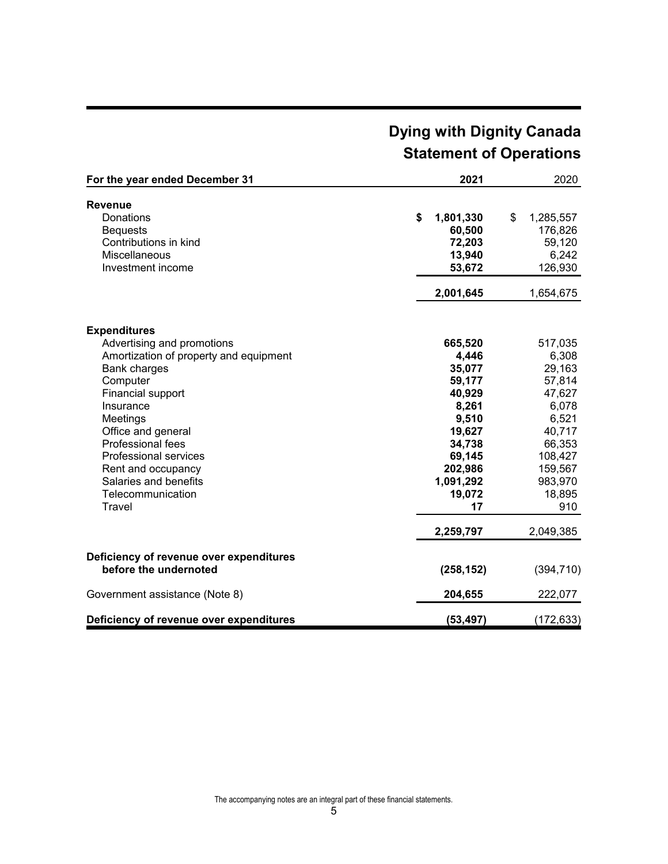| For the year ended December 31          | 2021            | 2020            |
|-----------------------------------------|-----------------|-----------------|
| <b>Revenue</b><br>Donations             | \$<br>1,801,330 | \$<br>1,285,557 |
| <b>Bequests</b>                         | 60,500          | 176,826         |
| Contributions in kind                   | 72,203          | 59,120          |
| Miscellaneous                           | 13,940          | 6,242           |
| Investment income                       | 53,672          | 126,930         |
|                                         | 2,001,645       | 1,654,675       |
|                                         |                 |                 |
| <b>Expenditures</b>                     |                 |                 |
| Advertising and promotions              | 665,520         | 517,035         |
| Amortization of property and equipment  | 4,446           | 6,308           |
| <b>Bank charges</b>                     | 35,077          | 29,163          |
| Computer                                | 59,177          | 57,814          |
| Financial support                       | 40,929          | 47,627          |
| Insurance                               | 8,261           | 6,078           |
| Meetings                                | 9,510           | 6,521           |
| Office and general                      | 19,627          | 40,717          |
| Professional fees                       | 34,738          | 66,353          |
| <b>Professional services</b>            | 69,145          | 108,427         |
| Rent and occupancy                      | 202,986         | 159,567         |
| Salaries and benefits                   | 1,091,292       | 983,970         |
| Telecommunication                       | 19,072          | 18,895          |
| Travel                                  | 17              | 910             |
|                                         | 2,259,797       | 2,049,385       |
| Deficiency of revenue over expenditures |                 |                 |
| before the undernoted                   | (258, 152)      | (394, 710)      |
| Government assistance (Note 8)          | 204,655         | 222,077         |
| Deficiency of revenue over expenditures | (53, 497)       | (172, 633)      |

# **Dying with Dignity Canada Statement of Operations**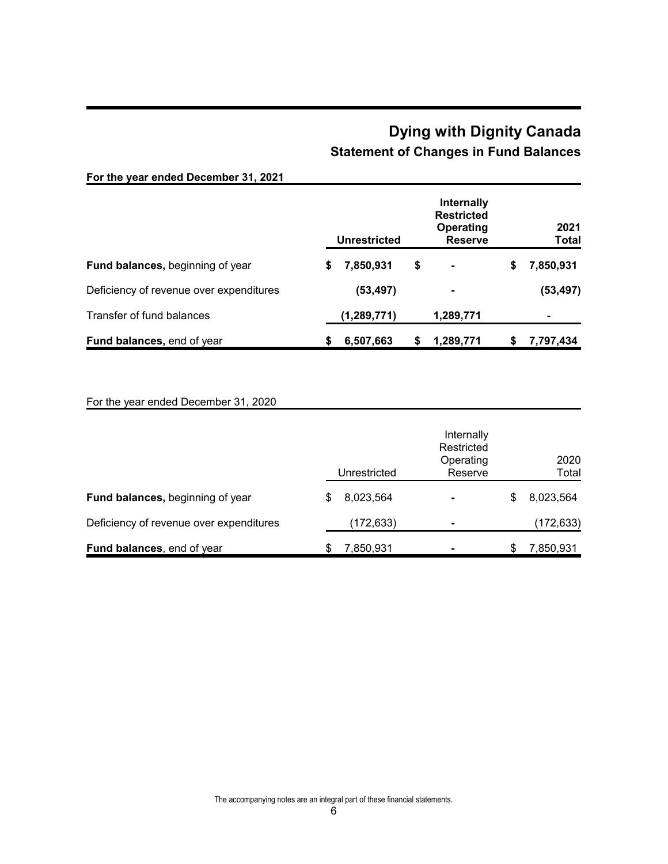# **Dying with Dignity Canada Statement of Changes in Fund Balances**

|                                         |    | <b>Unrestricted</b> |    | <b>Internally</b><br><b>Restricted</b><br>Operating<br><b>Reserve</b> |    | 2021<br><b>Total</b> |
|-----------------------------------------|----|---------------------|----|-----------------------------------------------------------------------|----|----------------------|
| Fund balances, beginning of year        | S  | 7,850,931           | \$ | $\blacksquare$                                                        | \$ | 7,850,931            |
| Deficiency of revenue over expenditures |    | (53, 497)           |    | $\blacksquare$                                                        |    | (53, 497)            |
| Transfer of fund balances               |    | (1, 289, 771)       |    | 1,289,771                                                             |    |                      |
| <b>Fund balances, end of year</b>       | \$ | 6,507,663           | S  | 1,289,771                                                             | S  | 7,797,434            |

**For the year ended December 31, 2021** 

For the year ended December 31, 2020

|                                         |     | Unrestricted | Internally<br>Restricted<br>Operating<br>Reserve | 2020<br>Total |           |
|-----------------------------------------|-----|--------------|--------------------------------------------------|---------------|-----------|
| Fund balances, beginning of year        | \$. | 8,023,564    |                                                  | \$            | 8,023,564 |
| Deficiency of revenue over expenditures |     | (172,633)    | $\blacksquare$                                   |               | (172,633) |
| <b>Fund balances, end of year</b>       | S.  | 7,850,931    | -                                                | \$            | 7,850,931 |

The accompanying notes are an integral part of these financial statements.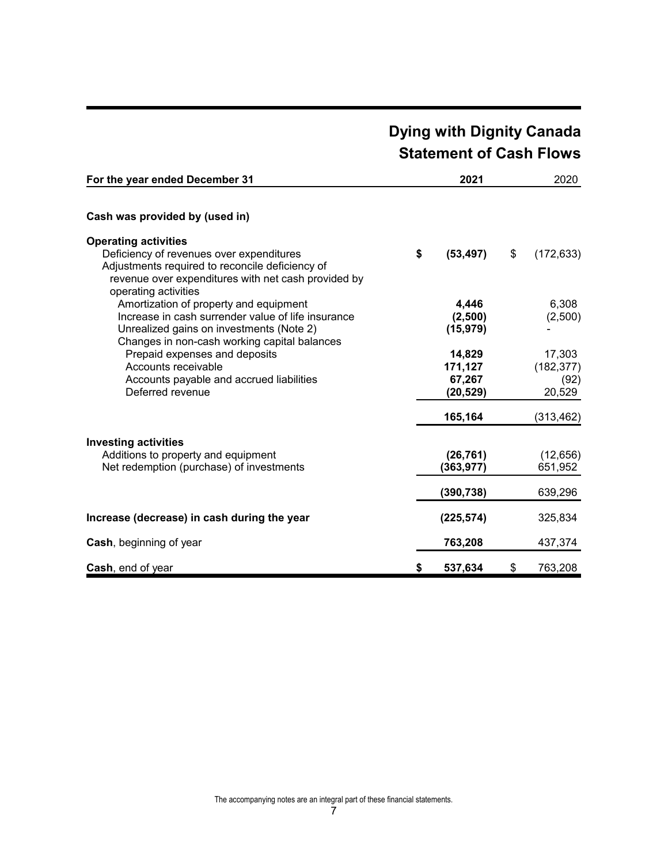|                                                                                                                                                                                                           | <b>Statement of Cash Flows</b>           |                                        |
|-----------------------------------------------------------------------------------------------------------------------------------------------------------------------------------------------------------|------------------------------------------|----------------------------------------|
| For the year ended December 31                                                                                                                                                                            | 2021                                     | 2020                                   |
| Cash was provided by (used in)                                                                                                                                                                            |                                          |                                        |
| <b>Operating activities</b><br>Deficiency of revenues over expenditures<br>Adjustments required to reconcile deficiency of<br>revenue over expenditures with net cash provided by<br>operating activities | \$<br>(53, 497)                          | \$<br>(172, 633)                       |
| Amortization of property and equipment<br>Increase in cash surrender value of life insurance<br>Unrealized gains on investments (Note 2)<br>Changes in non-cash working capital balances                  | 4,446<br>(2,500)<br>(15, 979)            | 6,308<br>(2,500)                       |
| Prepaid expenses and deposits<br>Accounts receivable<br>Accounts payable and accrued liabilities<br>Deferred revenue                                                                                      | 14,829<br>171,127<br>67,267<br>(20, 529) | 17,303<br>(182, 377)<br>(92)<br>20,529 |
|                                                                                                                                                                                                           | 165,164                                  | (313, 462)                             |
| <b>Investing activities</b><br>Additions to property and equipment<br>Net redemption (purchase) of investments                                                                                            | (26, 761)<br>(363, 977)                  | (12, 656)<br>651,952                   |
|                                                                                                                                                                                                           | (390, 738)                               | 639,296                                |
| Increase (decrease) in cash during the year                                                                                                                                                               | (225, 574)                               | 325,834                                |
| Cash, beginning of year                                                                                                                                                                                   | 763,208                                  | 437,374                                |
| Cash, end of year                                                                                                                                                                                         | \$<br>537,634                            | \$<br>763,208                          |

# **Dying with Dignity Canada**

The accompanying notes are an integral part of these financial statements.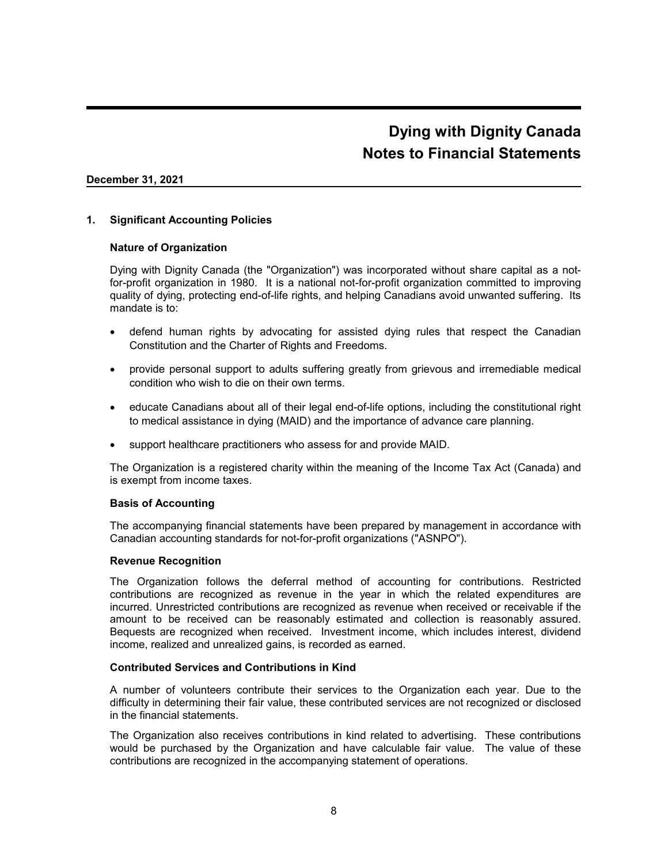## **December 31, 2021**

## **1. Significant Accounting Policies**

## **Nature of Organization**

Dying with Dignity Canada (the "Organization") was incorporated without share capital as a notfor-profit organization in 1980. It is a national not-for-profit organization committed to improving quality of dying, protecting end-of-life rights, and helping Canadians avoid unwanted suffering. Its mandate is to:

- defend human rights by advocating for assisted dying rules that respect the Canadian Constitution and the Charter of Rights and Freedoms.
- provide personal support to adults suffering greatly from grievous and irremediable medical condition who wish to die on their own terms.
- educate Canadians about all of their legal end-of-life options, including the constitutional right to medical assistance in dying (MAID) and the importance of advance care planning.
- support healthcare practitioners who assess for and provide MAID.

The Organization is a registered charity within the meaning of the Income Tax Act (Canada) and is exempt from income taxes.

#### **Basis of Accounting**

The accompanying financial statements have been prepared by management in accordance with Canadian accounting standards for not-for-profit organizations ("ASNPO").

#### **Revenue Recognition**

The Organization follows the deferral method of accounting for contributions. Restricted contributions are recognized as revenue in the year in which the related expenditures are incurred. Unrestricted contributions are recognized as revenue when received or receivable if the amount to be received can be reasonably estimated and collection is reasonably assured. Bequests are recognized when received. Investment income, which includes interest, dividend income, realized and unrealized gains, is recorded as earned.

## **Contributed Services and Contributions in Kind**

A number of volunteers contribute their services to the Organization each year. Due to the difficulty in determining their fair value, these contributed services are not recognized or disclosed in the financial statements.

The Organization also receives contributions in kind related to advertising. These contributions would be purchased by the Organization and have calculable fair value. The value of these contributions are recognized in the accompanying statement of operations.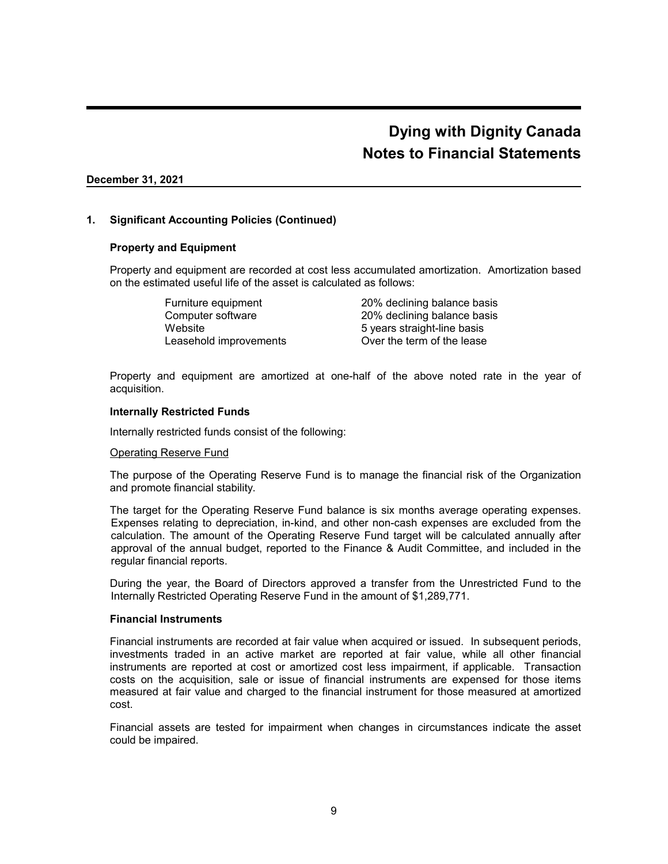#### **December 31, 2021**

## **1. Significant Accounting Policies (Continued)**

## **Property and Equipment**

Property and equipment are recorded at cost less accumulated amortization. Amortization based on the estimated useful life of the asset is calculated as follows:

Furniture equipment 20% declining balance basis Computer software 20% declining balance basis Website **5** years straight-line basis Leasehold improvements Over the term of the lease

Property and equipment are amortized at one-half of the above noted rate in the year of acquisition.

#### **Internally Restricted Funds**

Internally restricted funds consist of the following:

#### Operating Reserve Fund

The purpose of the Operating Reserve Fund is to manage the financial risk of the Organization and promote financial stability.

The target for the Operating Reserve Fund balance is six months average operating expenses. Expenses relating to depreciation, in-kind, and other non-cash expenses are excluded from the calculation. The amount of the Operating Reserve Fund target will be calculated annually after approval of the annual budget, reported to the Finance & Audit Committee, and included in the regular financial reports.

During the year, the Board of Directors approved a transfer from the Unrestricted Fund to the Internally Restricted Operating Reserve Fund in the amount of \$1,289,771.

#### **Financial Instruments**

Financial instruments are recorded at fair value when acquired or issued. In subsequent periods, investments traded in an active market are reported at fair value, while all other financial instruments are reported at cost or amortized cost less impairment, if applicable. Transaction costs on the acquisition, sale or issue of financial instruments are expensed for those items measured at fair value and charged to the financial instrument for those measured at amortized cost.

Financial assets are tested for impairment when changes in circumstances indicate the asset could be impaired.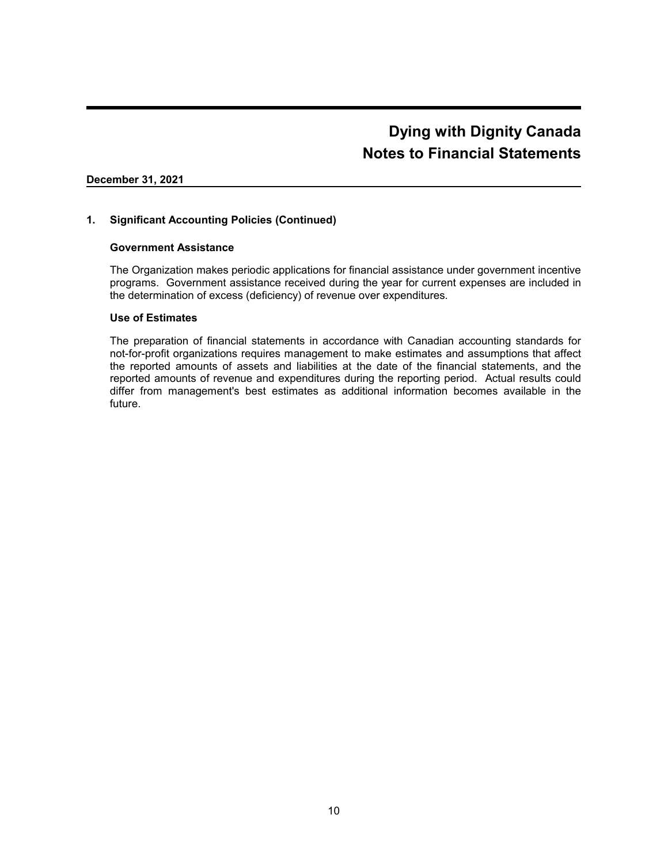## **December 31, 2021**

# **1. Significant Accounting Policies (Continued)**

#### **Government Assistance**

The Organization makes periodic applications for financial assistance under government incentive programs. Government assistance received during the year for current expenses are included in the determination of excess (deficiency) of revenue over expenditures.

## **Use of Estimates**

The preparation of financial statements in accordance with Canadian accounting standards for not-for-profit organizations requires management to make estimates and assumptions that affect the reported amounts of assets and liabilities at the date of the financial statements, and the reported amounts of revenue and expenditures during the reporting period. Actual results could differ from management's best estimates as additional information becomes available in the future.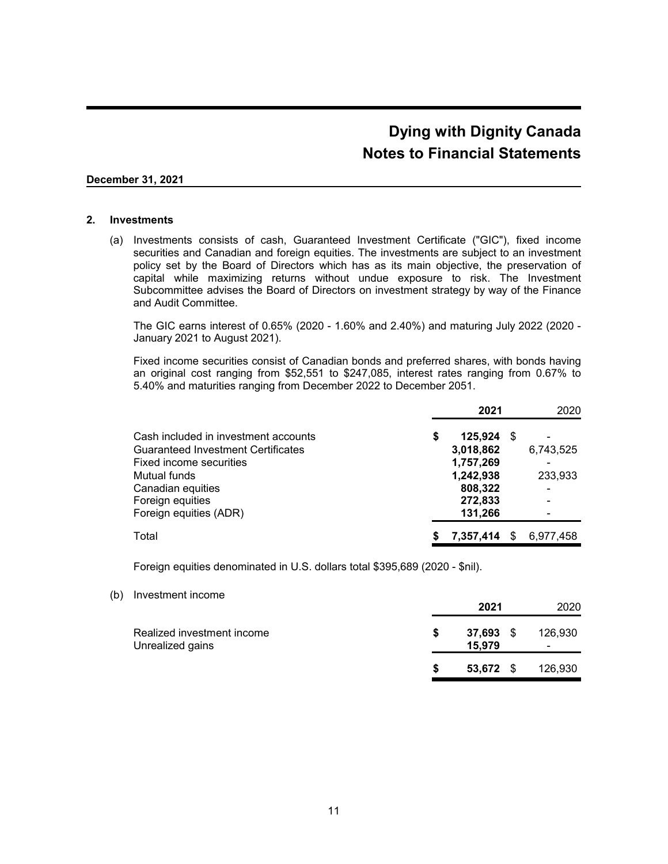## **December 31, 2021**

#### **2. Investments**

(a) Investments consists of cash, Guaranteed Investment Certificate ("GIC"), fixed income securities and Canadian and foreign equities. The investments are subject to an investment policy set by the Board of Directors which has as its main objective, the preservation of capital while maximizing returns without undue exposure to risk. The Investment Subcommittee advises the Board of Directors on investment strategy by way of the Finance and Audit Committee.

The GIC earns interest of 0.65% (2020 - 1.60% and 2.40%) and maturing July 2022 (2020 - January 2021 to August 2021).

Fixed income securities consist of Canadian bonds and preferred shares, with bonds having an original cost ranging from \$52,551 to \$247,085, interest rates ranging from 0.67% to 5.40% and maturities ranging from December 2022 to December 2051.

|                                           |    | 2021      |      | 2020      |
|-------------------------------------------|----|-----------|------|-----------|
| Cash included in investment accounts      | \$ | 125,924   | - \$ | -         |
| <b>Guaranteed Investment Certificates</b> |    | 3,018,862 |      | 6,743,525 |
| Fixed income securities                   |    | 1,757,269 |      |           |
| Mutual funds                              |    | 1,242,938 |      | 233,933   |
| Canadian equities                         |    | 808,322   |      |           |
| Foreign equities                          |    | 272,833   |      |           |
| Foreign equities (ADR)                    |    | 131,266   |      |           |
| Total                                     | S  | 7,357,414 |      | 6.977.458 |

Foreign equities denominated in U.S. dollars total \$395,689 (2020 - \$nil).

(b) Investment income

|                                                | 2021                  | 2020                                |
|------------------------------------------------|-----------------------|-------------------------------------|
| Realized investment income<br>Unrealized gains | $37,693$ \$<br>15.979 | 126,930<br>$\overline{\phantom{a}}$ |
|                                                |                       | <b>53,672</b> \$ 126,930            |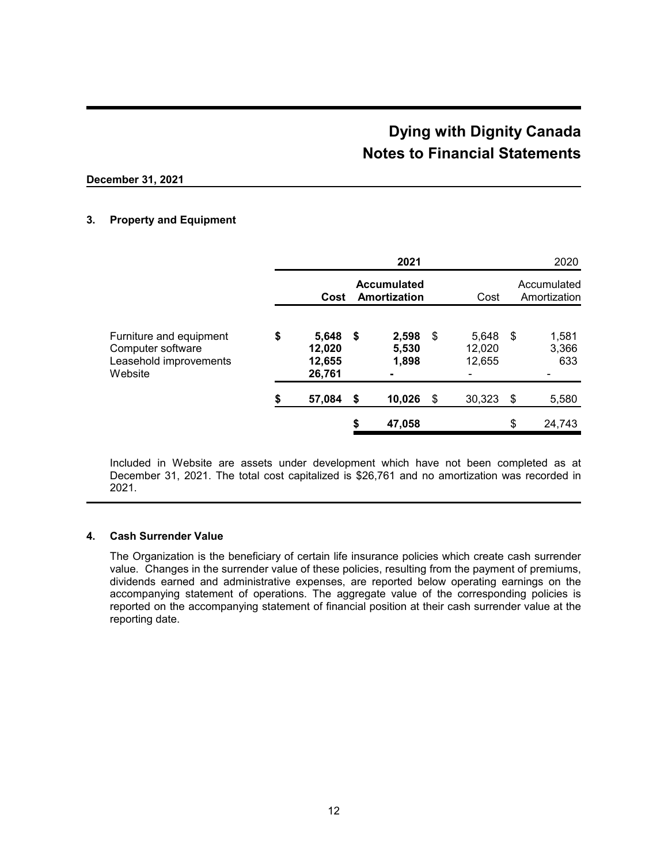#### **December 31, 2021**

# **3. Property and Equipment**

|                                                                                   | 2021 |                                     |    |                                           |    |                           |     | 2020                        |
|-----------------------------------------------------------------------------------|------|-------------------------------------|----|-------------------------------------------|----|---------------------------|-----|-----------------------------|
|                                                                                   |      | Cost                                |    | Accumulated<br>Amortization               |    | Cost                      |     | Accumulated<br>Amortization |
| Furniture and equipment<br>Computer software<br>Leasehold improvements<br>Website | \$   | 5,648<br>12,020<br>12,655<br>26,761 | \$ | 2,598<br>5,530<br>1,898<br>$\blacksquare$ | \$ | 5,648<br>12,020<br>12,655 | -\$ | 1,581<br>3,366<br>633       |
|                                                                                   | \$   | 57,084                              | \$ | 10,026                                    | S  | 30,323                    | \$  | 5,580                       |
|                                                                                   |      |                                     | \$ | 47,058                                    |    |                           | \$  | 24,743                      |

Included in Website are assets under development which have not been completed as at December 31, 2021. The total cost capitalized is \$26,761 and no amortization was recorded in 2021.

## **4. Cash Surrender Value**

The Organization is the beneficiary of certain life insurance policies which create cash surrender value. Changes in the surrender value of these policies, resulting from the payment of premiums, dividends earned and administrative expenses, are reported below operating earnings on the accompanying statement of operations. The aggregate value of the corresponding policies is reported on the accompanying statement of financial position at their cash surrender value at the reporting date.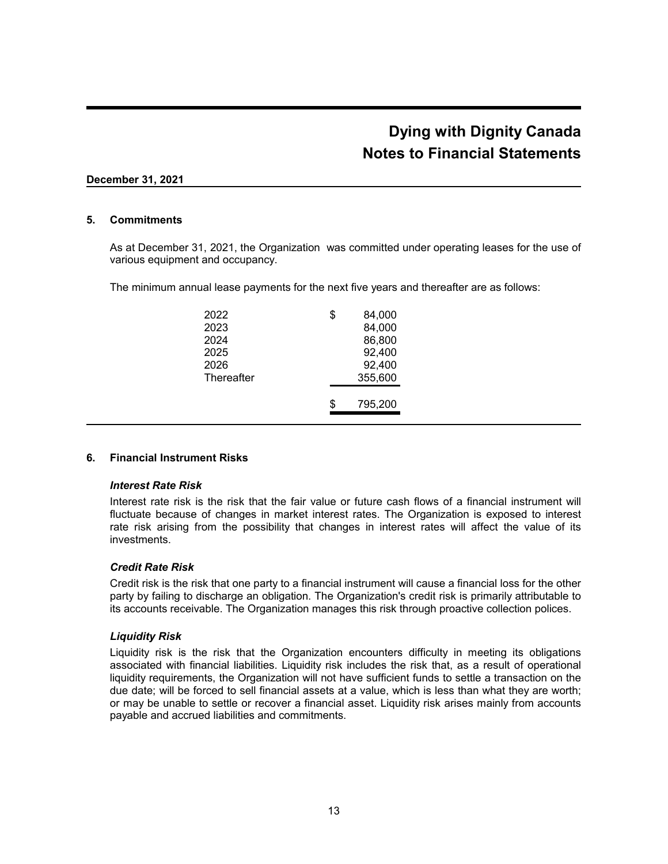#### **December 31, 2021**

#### **5. Commitments**

As at December 31, 2021, the Organization was committed under operating leases for the use of various equipment and occupancy.

The minimum annual lease payments for the next five years and thereafter are as follows:

| 2022       | \$ | 84,000  |
|------------|----|---------|
| 2023       |    | 84,000  |
| 2024       |    | 86,800  |
| 2025       |    | 92,400  |
| 2026       |    | 92,400  |
| Thereafter |    | 355,600 |
|            |    |         |
|            | S. | 795,200 |
|            |    |         |

## **6. Financial Instrument Risks**

## *Interest Rate Risk*

Interest rate risk is the risk that the fair value or future cash flows of a financial instrument will fluctuate because of changes in market interest rates. The Organization is exposed to interest rate risk arising from the possibility that changes in interest rates will affect the value of its investments.

## *Credit Rate Risk*

Credit risk is the risk that one party to a financial instrument will cause a financial loss for the other party by failing to discharge an obligation. The Organization's credit risk is primarily attributable to its accounts receivable. The Organization manages this risk through proactive collection polices.

## *Liquidity Risk*

Liquidity risk is the risk that the Organization encounters difficulty in meeting its obligations associated with financial liabilities. Liquidity risk includes the risk that, as a result of operational liquidity requirements, the Organization will not have sufficient funds to settle a transaction on the due date; will be forced to sell financial assets at a value, which is less than what they are worth; or may be unable to settle or recover a financial asset. Liquidity risk arises mainly from accounts payable and accrued liabilities and commitments.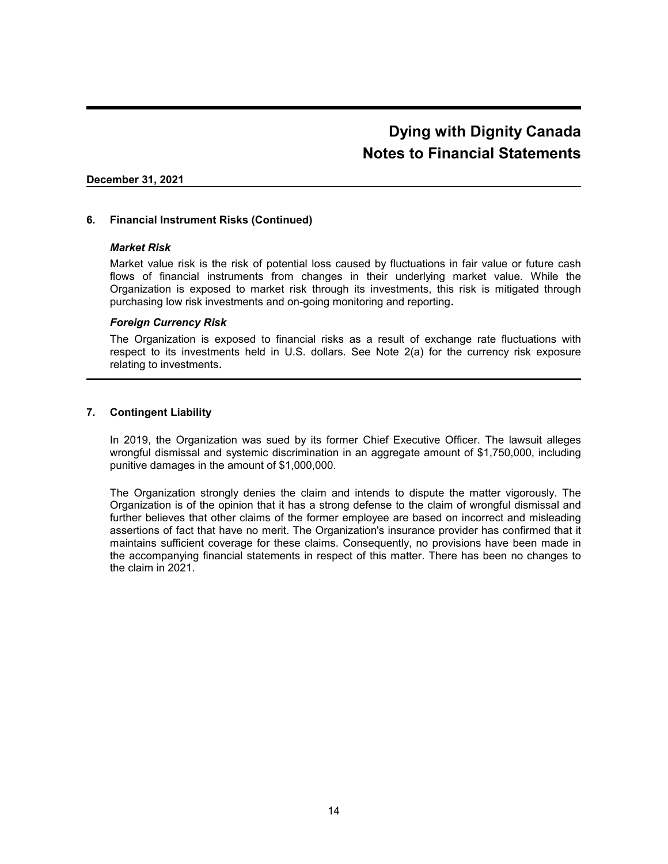#### **December 31, 2021**

## **6. Financial Instrument Risks (Continued)**

#### *Market Risk*

Market value risk is the risk of potential loss caused by fluctuations in fair value or future cash flows of financial instruments from changes in their underlying market value. While the Organization is exposed to market risk through its investments, this risk is mitigated through purchasing low risk investments and on-going monitoring and reporting.

#### *Foreign Currency Risk*

The Organization is exposed to financial risks as a result of exchange rate fluctuations with respect to its investments held in U.S. dollars. See Note 2(a) for the currency risk exposure relating to investments.

## **7. Contingent Liability**

In 2019, the Organization was sued by its former Chief Executive Officer. The lawsuit alleges wrongful dismissal and systemic discrimination in an aggregate amount of \$1,750,000, including punitive damages in the amount of \$1,000,000.

The Organization strongly denies the claim and intends to dispute the matter vigorously. The Organization is of the opinion that it has a strong defense to the claim of wrongful dismissal and further believes that other claims of the former employee are based on incorrect and misleading assertions of fact that have no merit. The Organization's insurance provider has confirmed that it maintains sufficient coverage for these claims. Consequently, no provisions have been made in the accompanying financial statements in respect of this matter. There has been no changes to the claim in 2021.